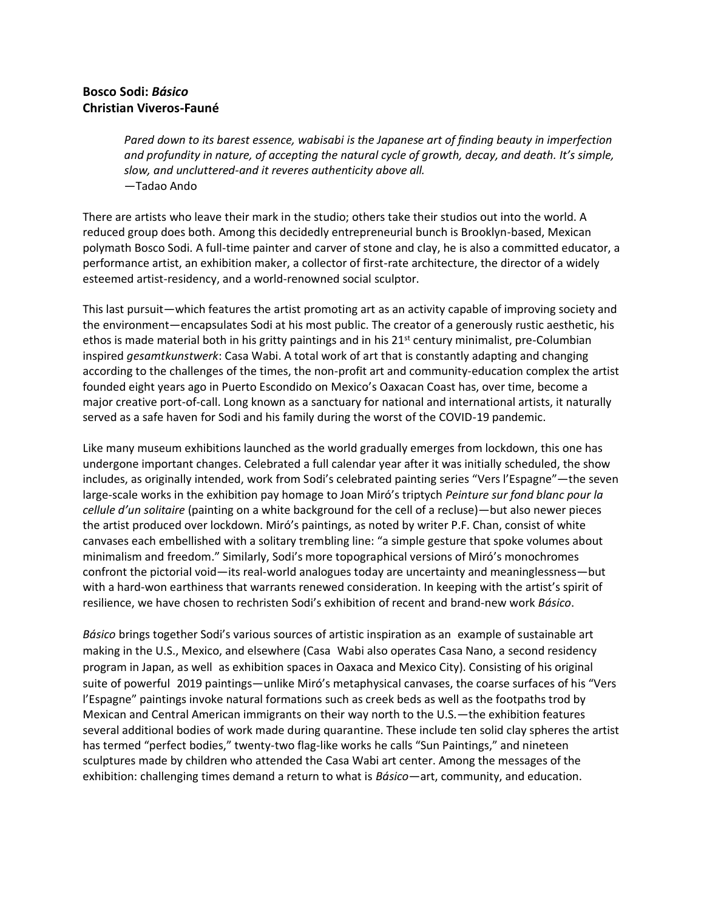## **Bosco Sodi:** *Básico* **Christian Viveros-Fauné**

*Pared down to its barest essence, wabisabi is the Japanese art of finding beauty in imperfection and profundity in nature, of accepting the natural cycle of growth, decay, and death. It's simple, slow, and uncluttered-and it reveres authenticity above all.* —Tadao Ando

There are artists who leave their mark in the studio; others take their studios out into the world. A reduced group does both. Among this decidedly entrepreneurial bunch is Brooklyn-based, Mexican polymath Bosco Sodi. A full-time painter and carver of stone and clay, he is also a committed educator, a performance artist, an exhibition maker, a collector of first-rate architecture, the director of a widely esteemed artist-residency, and a world-renowned social sculptor.

This last pursuit—which features the artist promoting art as an activity capable of improving society and the environment—encapsulates Sodi at his most public. The creator of a generously rustic aesthetic, his ethos is made material both in his gritty paintings and in his 21<sup>st</sup> century minimalist, pre-Columbian inspired *gesamtkunstwerk*: Casa Wabi. A total work of art that is constantly adapting and changing according to the challenges of the times, the non-profit art and community-education complex the artist founded eight years ago in Puerto Escondido on Mexico's Oaxacan Coast has, over time, become a major creative port-of-call. Long known as a sanctuary for national and international artists, it naturally served as a safe haven for Sodi and his family during the worst of the COVID-19 pandemic.

Like many museum exhibitions launched as the world gradually emerges from lockdown, this one has undergone important changes. Celebrated a full calendar year after it was initially scheduled, the show includes, as originally intended, work from Sodi's celebrated painting series "Vers l'Espagne"—the seven large-scale works in the exhibition pay homage to Joan Miró's triptych *Peinture sur fond blanc pour la cellule d'un solitaire* (painting on a white background for the cell of a recluse)—but also newer pieces the artist produced over lockdown. Miró's paintings, as noted by writer P.F. Chan, consist of white canvases each embellished with a solitary trembling line: "a simple gesture that spoke volumes about minimalism and freedom." Similarly, Sodi's more topographical versions of Miró's monochromes confront the pictorial void—its real-world analogues today are uncertainty and meaninglessness—but with a hard-won earthiness that warrants renewed consideration. In keeping with the artist's spirit of resilience, we have chosen to rechristen Sodi's exhibition of recent and brand-new work *Básico*.

*Básico* brings together Sodi's various sources of artistic inspiration as an example of sustainable art making in the U.S., Mexico, and elsewhere (Casa Wabi also operates Casa Nano, a second residency program in Japan, as well as exhibition spaces in Oaxaca and Mexico City). Consisting of his original suite of powerful 2019 paintings—unlike Miró's metaphysical canvases, the coarse surfaces of his "Vers l'Espagne" paintings invoke natural formations such as creek beds as well as the footpaths trod by Mexican and Central American immigrants on their way north to the U.S.—the exhibition features several additional bodies of work made during quarantine. These include ten solid clay spheres the artist has termed "perfect bodies," twenty-two flag-like works he calls "Sun Paintings," and nineteen sculptures made by children who attended the Casa Wabi art center. Among the messages of the exhibition: challenging times demand a return to what is *Básico*—art, community, and education.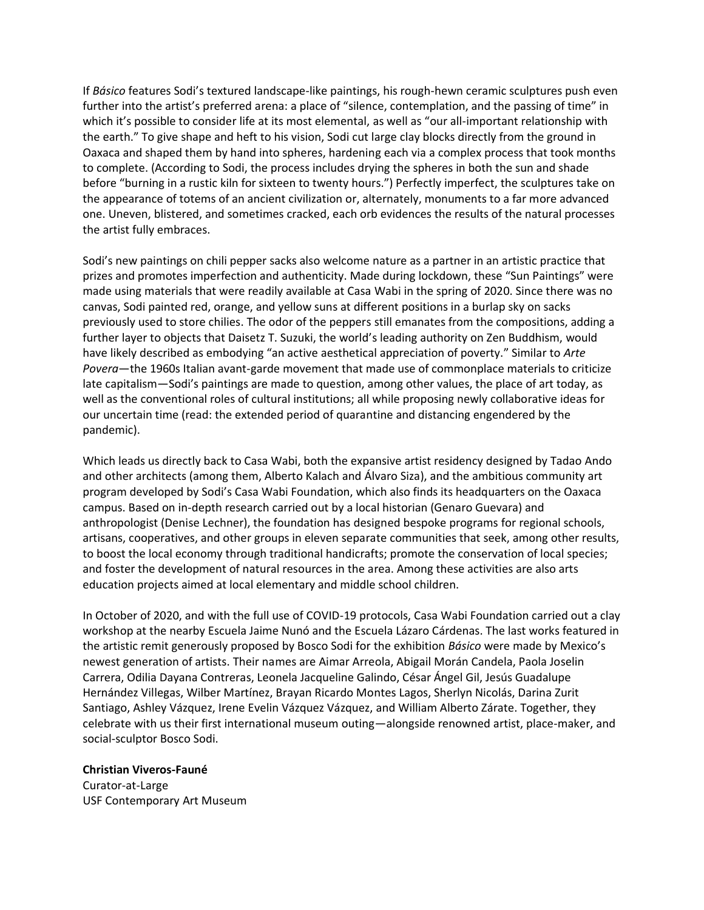If *Básico* features Sodi's textured landscape-like paintings, his rough-hewn ceramic sculptures push even further into the artist's preferred arena: a place of "silence, contemplation, and the passing of time" in which it's possible to consider life at its most elemental, as well as "our all-important relationship with the earth." To give shape and heft to his vision, Sodi cut large clay blocks directly from the ground in Oaxaca and shaped them by hand into spheres, hardening each via a complex process that took months to complete. (According to Sodi, the process includes drying the spheres in both the sun and shade before "burning in a rustic kiln for sixteen to twenty hours.") Perfectly imperfect, the sculptures take on the appearance of totems of an ancient civilization or, alternately, monuments to a far more advanced one. Uneven, blistered, and sometimes cracked, each orb evidences the results of the natural processes the artist fully embraces.

Sodi's new paintings on chili pepper sacks also welcome nature as a partner in an artistic practice that prizes and promotes imperfection and authenticity. Made during lockdown, these "Sun Paintings" were made using materials that were readily available at Casa Wabi in the spring of 2020. Since there was no canvas, Sodi painted red, orange, and yellow suns at different positions in a burlap sky on sacks previously used to store chilies. The odor of the peppers still emanates from the compositions, adding a further layer to objects that Daisetz T. Suzuki, the world's leading authority on Zen Buddhism, would have likely described as embodying "an active aesthetical appreciation of poverty." Similar to *Arte Povera*—the 1960s Italian avant-garde movement that made use of commonplace materials to criticize late capitalism—Sodi's paintings are made to question, among other values, the place of art today, as well as the conventional roles of cultural institutions; all while proposing newly collaborative ideas for our uncertain time (read: the extended period of quarantine and distancing engendered by the pandemic).

Which leads us directly back to Casa Wabi, both the expansive artist residency designed by Tadao Ando and other architects (among them, Alberto Kalach and Álvaro Siza), and the ambitious community art program developed by Sodi's Casa Wabi Foundation, which also finds its headquarters on the Oaxaca campus. Based on in-depth research carried out by a local historian (Genaro Guevara) and anthropologist (Denise Lechner), the foundation has designed bespoke programs for regional schools, artisans, cooperatives, and other groups in eleven separate communities that seek, among other results, to boost the local economy through traditional handicrafts; promote the conservation of local species; and foster the development of natural resources in the area. Among these activities are also arts education projects aimed at local elementary and middle school children.

In October of 2020, and with the full use of COVID-19 protocols, Casa Wabi Foundation carried out a clay workshop at the nearby Escuela Jaime Nunó and the Escuela Lázaro Cárdenas. The last works featured in the artistic remit generously proposed by Bosco Sodi for the exhibition *Básico* were made by Mexico's newest generation of artists. Their names are Aimar Arreola, Abigail Morán Candela, Paola Joselin Carrera, Odilia Dayana Contreras, Leonela Jacqueline Galindo, César Ángel Gil, Jesús Guadalupe Hernández Villegas, Wilber Martínez, Brayan Ricardo Montes Lagos, Sherlyn Nicolás, Darina Zurit Santiago, Ashley Vázquez, Irene Evelin Vázquez Vázquez, and William Alberto Zárate. Together, they celebrate with us their first international museum outing—alongside renowned artist, place-maker, and social-sculptor Bosco Sodi.

## **Christian Viveros-Fauné**

Curator-at-Large USF Contemporary Art Museum